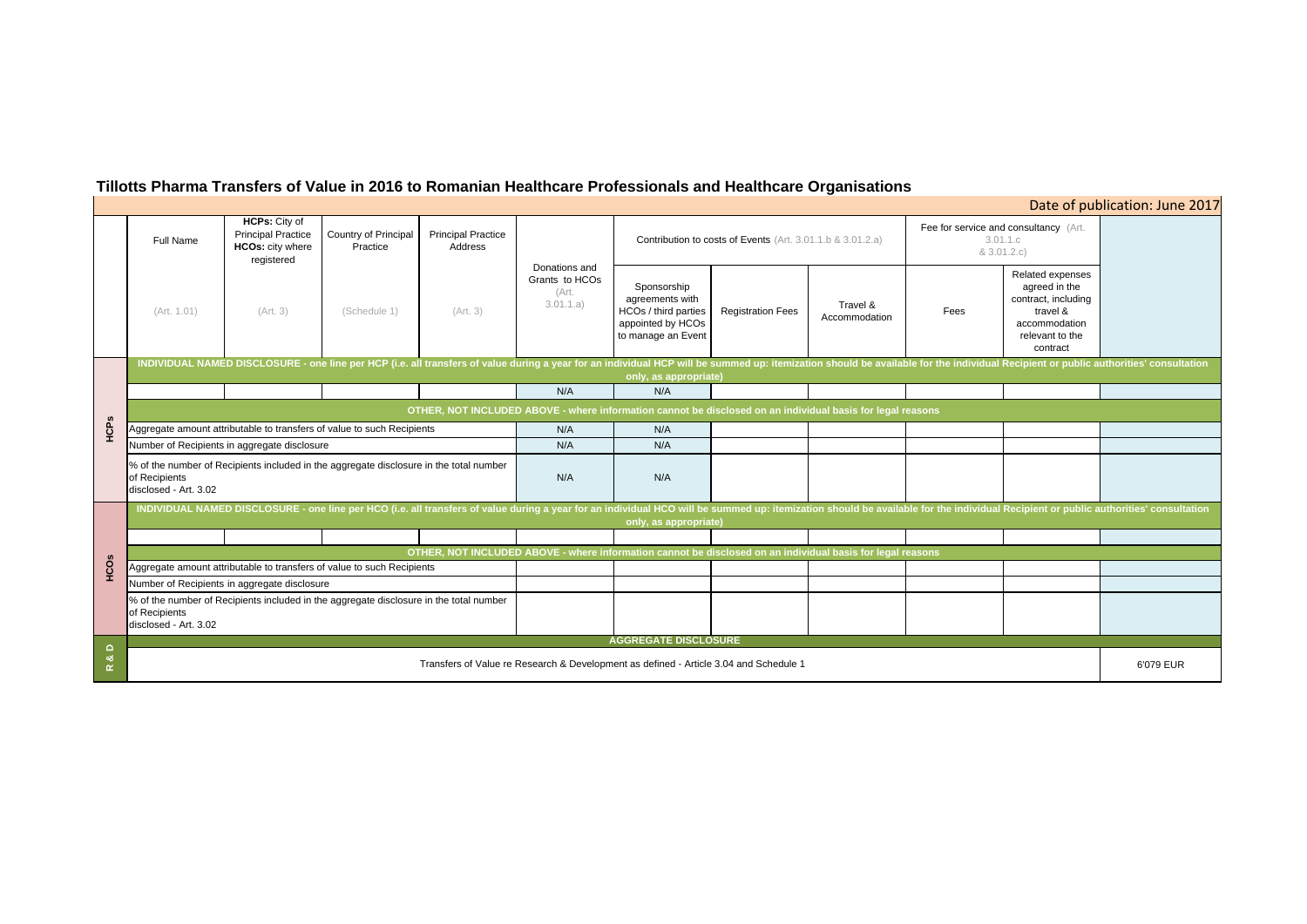# **Tillotts Pharma Transfers of Value in 2016 to Romanian Healthcare Professionals and Healthcare Organisations**

| Date of publication: June 2017                                   |                                                                                                                      |                                                                 |  |  |  |  |  |  |  |  |
|------------------------------------------------------------------|----------------------------------------------------------------------------------------------------------------------|-----------------------------------------------------------------|--|--|--|--|--|--|--|--|
| 3.01.1.c<br>& 3.01.2.c)                                          | Fee for service and consultancy (Art.                                                                                |                                                                 |  |  |  |  |  |  |  |  |
| Fees                                                             | Related expenses<br>agreed in the<br>contract, including<br>travel &<br>accommodation<br>relevant to the<br>contract |                                                                 |  |  |  |  |  |  |  |  |
|                                                                  |                                                                                                                      | or the individual Recipient or public authorities' consultation |  |  |  |  |  |  |  |  |
|                                                                  |                                                                                                                      |                                                                 |  |  |  |  |  |  |  |  |
| ons                                                              |                                                                                                                      |                                                                 |  |  |  |  |  |  |  |  |
|                                                                  |                                                                                                                      |                                                                 |  |  |  |  |  |  |  |  |
|                                                                  |                                                                                                                      |                                                                 |  |  |  |  |  |  |  |  |
|                                                                  |                                                                                                                      |                                                                 |  |  |  |  |  |  |  |  |
| for the individual Recipient or public authorities' consultation |                                                                                                                      |                                                                 |  |  |  |  |  |  |  |  |
|                                                                  |                                                                                                                      |                                                                 |  |  |  |  |  |  |  |  |
| ons                                                              |                                                                                                                      |                                                                 |  |  |  |  |  |  |  |  |
|                                                                  |                                                                                                                      |                                                                 |  |  |  |  |  |  |  |  |
|                                                                  |                                                                                                                      |                                                                 |  |  |  |  |  |  |  |  |
|                                                                  |                                                                                                                      |                                                                 |  |  |  |  |  |  |  |  |
|                                                                  |                                                                                                                      |                                                                 |  |  |  |  |  |  |  |  |
|                                                                  |                                                                                                                      | 6'079 EUR                                                       |  |  |  |  |  |  |  |  |

|                            | Full Name                                                                                                                                                                                                                                               | <b>HCPs: City of</b><br><b>Principal Practice</b><br><b>HCOs:</b> city where<br>registered | Country of Principal<br>Practice | <b>Principal Practice</b><br>Address | Donations and<br>Grants to HCOs<br>(Art.<br>3.01.1.a) | Contribution to costs of Events (Art. 3.01.1.b & 3.01.2.a)                                                 |                          | Fee for service and consultancy (Art.<br>3.01.1.c<br>& 3.01.2.c) |      |                                                                                                                      |           |
|----------------------------|---------------------------------------------------------------------------------------------------------------------------------------------------------------------------------------------------------------------------------------------------------|--------------------------------------------------------------------------------------------|----------------------------------|--------------------------------------|-------------------------------------------------------|------------------------------------------------------------------------------------------------------------|--------------------------|------------------------------------------------------------------|------|----------------------------------------------------------------------------------------------------------------------|-----------|
|                            | (Art. 1.01)                                                                                                                                                                                                                                             | (Art. 3)                                                                                   | (Schedule 1)                     | (Art. 3)                             |                                                       | Sponsorship<br>agreements with<br>HCOs / third parties<br>appointed by HCOs<br>to manage an Event          | <b>Registration Fees</b> | Travel &<br>Accommodation                                        | Fees | Related expenses<br>agreed in the<br>contract, including<br>travel &<br>accommodation<br>relevant to the<br>contract |           |
|                            | INDIVIDUAL NAMED DISCLOSURE - one line per HCP (i.e. all transfers of value during a year for an individual HCP will be summed up: itemization should be available for the individual Recipient or public authorities' consult<br>only, as appropriate) |                                                                                            |                                  |                                      |                                                       |                                                                                                            |                          |                                                                  |      |                                                                                                                      |           |
|                            |                                                                                                                                                                                                                                                         |                                                                                            |                                  |                                      | N/A                                                   | N/A                                                                                                        |                          |                                                                  |      |                                                                                                                      |           |
|                            |                                                                                                                                                                                                                                                         |                                                                                            |                                  |                                      |                                                       | OTHER, NOT INCLUDED ABOVE - where information cannot be disclosed on an individual basis for legal reasons |                          |                                                                  |      |                                                                                                                      |           |
| HCPS                       | Aggregate amount attributable to transfers of value to such Recipients                                                                                                                                                                                  |                                                                                            |                                  | N/A                                  | N/A                                                   |                                                                                                            |                          |                                                                  |      |                                                                                                                      |           |
|                            | Number of Recipients in aggregate disclosure                                                                                                                                                                                                            |                                                                                            |                                  | N/A                                  | N/A                                                   |                                                                                                            |                          |                                                                  |      |                                                                                                                      |           |
|                            | % of the number of Recipients included in the aggregate disclosure in the total number<br>of Recipients<br>disclosed - Art. 3.02                                                                                                                        |                                                                                            |                                  |                                      | N/A                                                   | N/A                                                                                                        |                          |                                                                  |      |                                                                                                                      |           |
|                            | INDIVIDUAL NAMED DISCLOSURE - one line per HCO (i.e. all transfers of value during a year for an individual HCO will be summed up: itemization should be available for the individual Recipient or public authorities' consult<br>only, as appropriate) |                                                                                            |                                  |                                      |                                                       |                                                                                                            |                          |                                                                  |      |                                                                                                                      |           |
|                            |                                                                                                                                                                                                                                                         |                                                                                            |                                  |                                      |                                                       |                                                                                                            |                          |                                                                  |      |                                                                                                                      |           |
| HCOs                       | OTHER, NOT INCLUDED ABOVE - where information cannot be disclosed on an individual basis for legal reasons                                                                                                                                              |                                                                                            |                                  |                                      |                                                       |                                                                                                            |                          |                                                                  |      |                                                                                                                      |           |
|                            | Aggregate amount attributable to transfers of value to such Recipients                                                                                                                                                                                  |                                                                                            |                                  |                                      |                                                       |                                                                                                            |                          |                                                                  |      |                                                                                                                      |           |
|                            | Number of Recipients in aggregate disclosure                                                                                                                                                                                                            |                                                                                            |                                  |                                      |                                                       |                                                                                                            |                          |                                                                  |      |                                                                                                                      |           |
|                            | % of the number of Recipients included in the aggregate disclosure in the total number<br>of Recipients<br>disclosed - Art. 3.02                                                                                                                        |                                                                                            |                                  |                                      |                                                       |                                                                                                            |                          |                                                                  |      |                                                                                                                      |           |
|                            |                                                                                                                                                                                                                                                         |                                                                                            |                                  |                                      |                                                       | <b>AGGREGATE DISCLOSURE</b>                                                                                |                          |                                                                  |      |                                                                                                                      |           |
| $\Omega$<br>න්<br>$\simeq$ | Transfers of Value re Research & Development as defined - Article 3.04 and Schedule 1                                                                                                                                                                   |                                                                                            |                                  |                                      |                                                       |                                                                                                            |                          |                                                                  |      |                                                                                                                      | 6'079 EUR |